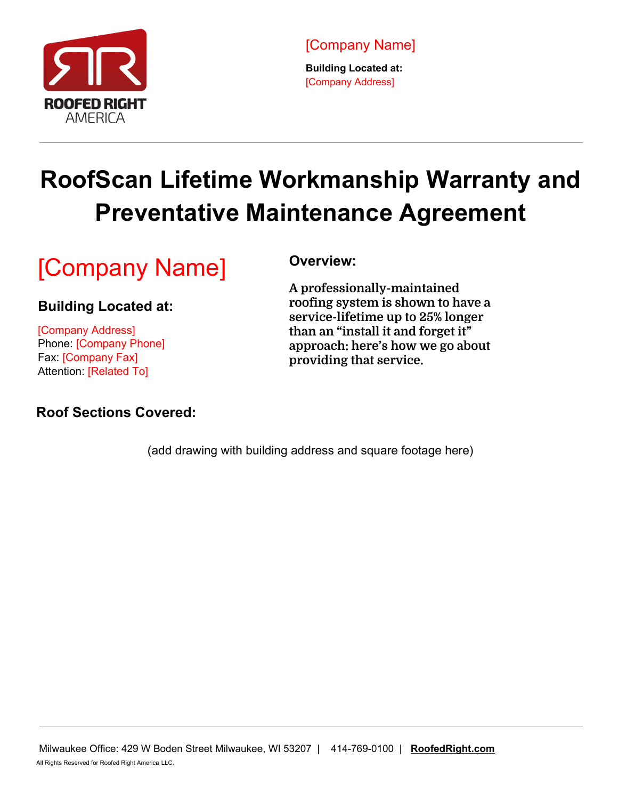

**Building Located at:** [Company Address]

## **RoofScan Lifetime Workmanship Warranty and Preventative Maintenance Agreement**

## [Company Name]

#### **Building Located at:**

[Company Address] Phone: [Company Phone] Fax: [Company Fax] Attention: [Related To]

#### **Roof Sections Covered:**

#### **Overview:**

**A professionally-maintained roofing system is shown to have a service-lifetime up to 25% longer than an "install it and forget it" approach: here's how we go about providing that service.**

(add drawing with building address and square footage here)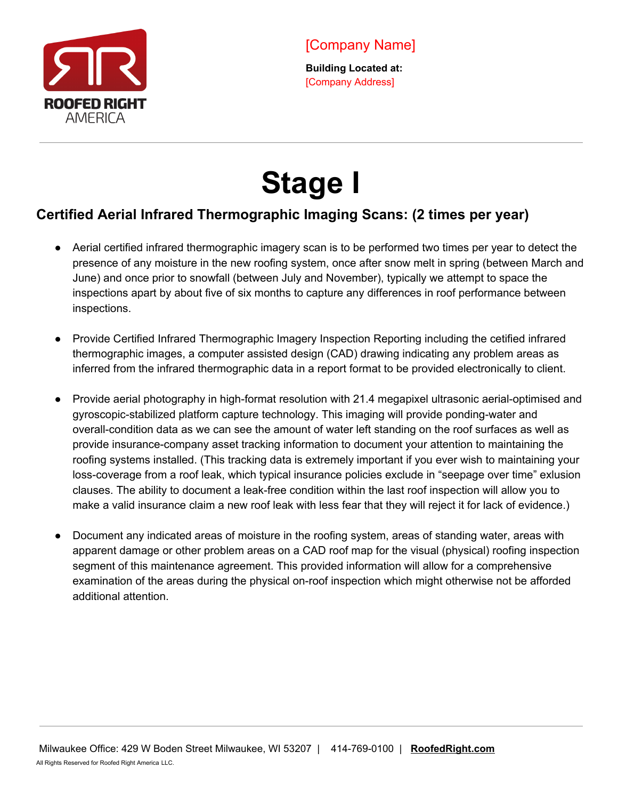

# **Stage I**

### **Certified Aerial Infrared Thermographic Imaging Scans: (2 times per year)**

- Aerial certified infrared thermographic imagery scan is to be performed two times per year to detect the presence of any moisture in the new roofing system, once after snow melt in spring (between March and June) and once prior to snowfall (between July and November), typically we attempt to space the inspections apart by about five of six months to capture any differences in roof performance between inspections.
- Provide Certified Infrared Thermographic Imagery Inspection Reporting including the cetified infrared thermographic images, a computer assisted design (CAD) drawing indicating any problem areas as inferred from the infrared thermographic data in a report format to be provided electronically to client.
- Provide aerial photography in high-format resolution with 21.4 megapixel ultrasonic aerial-optimised and gyroscopic-stabilized platform capture technology. This imaging will provide ponding-water and overall-condition data as we can see the amount of water left standing on the roof surfaces as well as provide insurance-company asset tracking information to document your attention to maintaining the roofing systems installed. (This tracking data is extremely important if you ever wish to maintaining your loss-coverage from a roof leak, which typical insurance policies exclude in "seepage over time" exlusion clauses. The ability to document a leak-free condition within the last roof inspection will allow you to make a valid insurance claim a new roof leak with less fear that they will reject it for lack of evidence.)
- Document any indicated areas of moisture in the roofing system, areas of standing water, areas with apparent damage or other problem areas on a CAD roof map for the visual (physical) roofing inspection segment of this maintenance agreement. This provided information will allow for a comprehensive examination of the areas during the physical on-roof inspection which might otherwise not be afforded additional attention.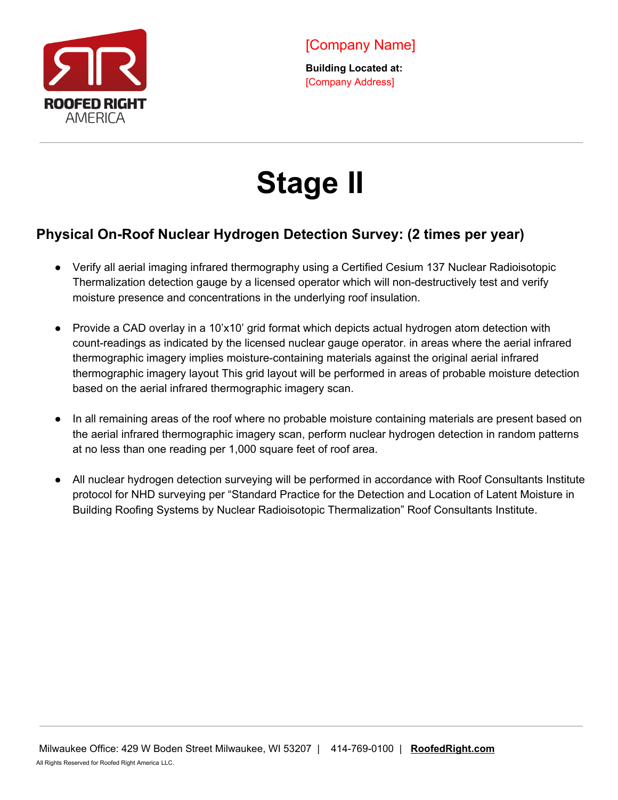

## **Stage II**

#### **Physical On-Roof Nuclear Hydrogen Detection Survey: (2 times per year)**

- Verify all aerial imaging infrared thermography using a Certified Cesium 137 Nuclear Radioisotopic Thermalization detection gauge by a licensed operator which will non-destructively test and verify moisture presence and concentrations in the underlying roof insulation.
- Provide a CAD overlay in a 10'x10' grid format which depicts actual hydrogen atom detection with count-readings as indicated by the licensed nuclear gauge operator. in areas where the aerial infrared thermographic imagery implies moisture-containing materials against the original aerial infrared thermographic imagery layout This grid layout will be performed in areas of probable moisture detection based on the aerial infrared thermographic imagery scan.
- In all remaining areas of the roof where no probable moisture containing materials are present based on the aerial infrared thermographic imagery scan, perform nuclear hydrogen detection in random patterns at no less than one reading per 1,000 square feet of roof area.
- All nuclear hydrogen detection surveying will be performed in accordance with Roof Consultants Institute protocol for NHD surveying per "Standard Practice for the Detection and Location of Latent Moisture in Building Roofing Systems by Nuclear Radioisotopic Thermalization" Roof Consultants Institute.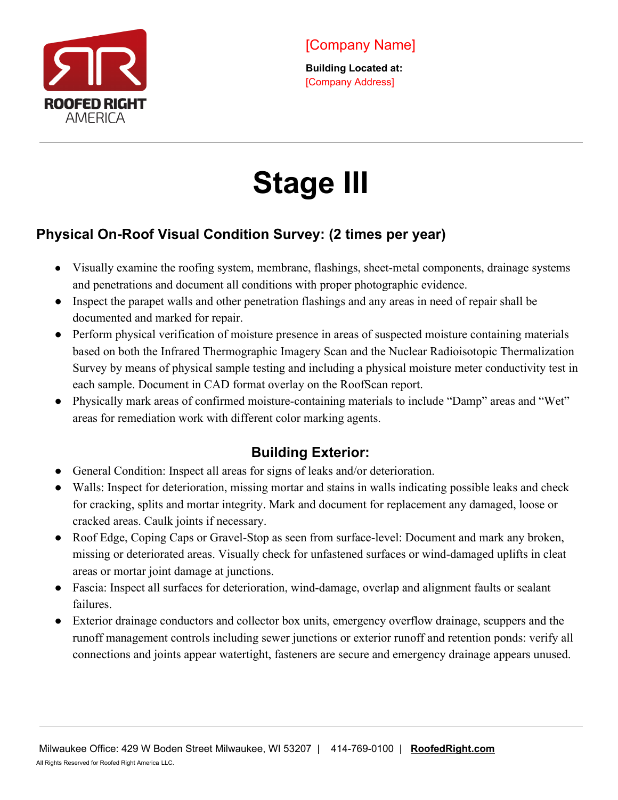

# **Stage III**

### **Physical On-Roof Visual Condition Survey: (2 times per year)**

- Visually examine the roofing system, membrane, flashings, sheet-metal components, drainage systems and penetrations and document all conditions with proper photographic evidence.
- Inspect the parapet walls and other penetration flashings and any areas in need of repair shall be documented and marked for repair.
- Perform physical verification of moisture presence in areas of suspected moisture containing materials based on both the Infrared Thermographic Imagery Scan and the Nuclear Radioisotopic Thermalization Survey by means of physical sample testing and including a physical moisture meter conductivity test in each sample. Document in CAD format overlay on the RoofScan report.
- Physically mark areas of confirmed moisture-containing materials to include "Damp" areas and "Wet" areas for remediation work with different color marking agents.

## **Building Exterior:**

- General Condition: Inspect all areas for signs of leaks and/or deterioration.
- Walls: Inspect for deterioration, missing mortar and stains in walls indicating possible leaks and check for cracking, splits and mortar integrity. Mark and document for replacement any damaged, loose or cracked areas. Caulk joints if necessary.
- Roof Edge, Coping Caps or Gravel-Stop as seen from surface-level: Document and mark any broken, missing or deteriorated areas. Visually check for unfastened surfaces or wind-damaged uplifts in cleat areas or mortar joint damage at junctions.
- Fascia: Inspect all surfaces for deterioration, wind-damage, overlap and alignment faults or sealant failures.
- Exterior drainage conductors and collector box units, emergency overflow drainage, scuppers and the runoff management controls including sewer junctions or exterior runoff and retention ponds: verify all connections and joints appear watertight, fasteners are secure and emergency drainage appears unused.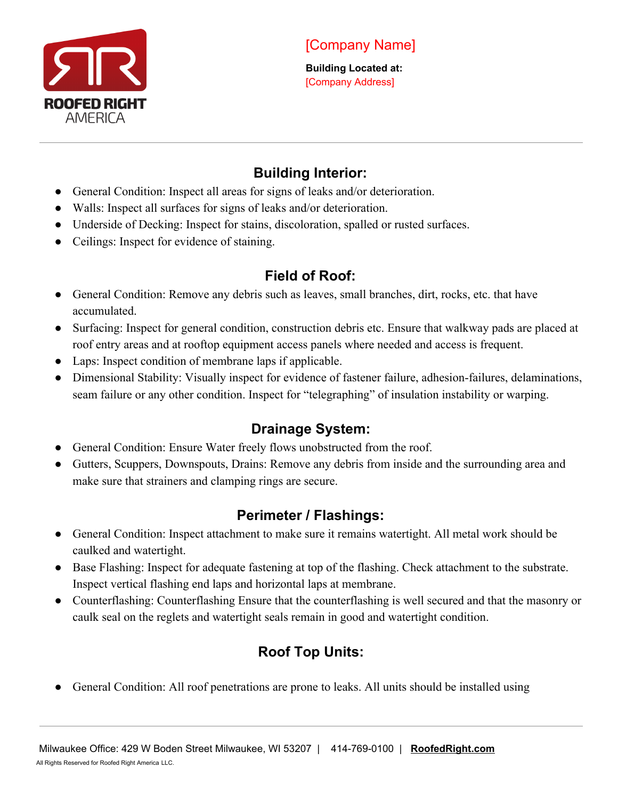

### **Building Interior:**

- General Condition: Inspect all areas for signs of leaks and/or deterioration.
- Walls: Inspect all surfaces for signs of leaks and/or deterioration.
- Underside of Decking: Inspect for stains, discoloration, spalled or rusted surfaces.
- Ceilings: Inspect for evidence of staining.

### **Field of Roof:**

- General Condition: Remove any debris such as leaves, small branches, dirt, rocks, etc. that have accumulated.
- Surfacing: Inspect for general condition, construction debris etc. Ensure that walkway pads are placed at roof entry areas and at rooftop equipment access panels where needed and access is frequent.
- Laps: Inspect condition of membrane laps if applicable.
- Dimensional Stability: Visually inspect for evidence of fastener failure, adhesion-failures, delaminations, seam failure or any other condition. Inspect for "telegraphing" of insulation instability or warping.

## **Drainage System:**

- General Condition: Ensure Water freely flows unobstructed from the roof.
- Gutters, Scuppers, Downspouts, Drains: Remove any debris from inside and the surrounding area and make sure that strainers and clamping rings are secure.

## **Perimeter / Flashings:**

- General Condition: Inspect attachment to make sure it remains watertight. All metal work should be caulked and watertight.
- Base Flashing: Inspect for adequate fastening at top of the flashing. Check attachment to the substrate. Inspect vertical flashing end laps and horizontal laps at membrane.
- Counterflashing: Counterflashing Ensure that the counterflashing is well secured and that the masonry or caulk seal on the reglets and watertight seals remain in good and watertight condition.

## **Roof Top Units:**

General Condition: All roof penetrations are prone to leaks. All units should be installed using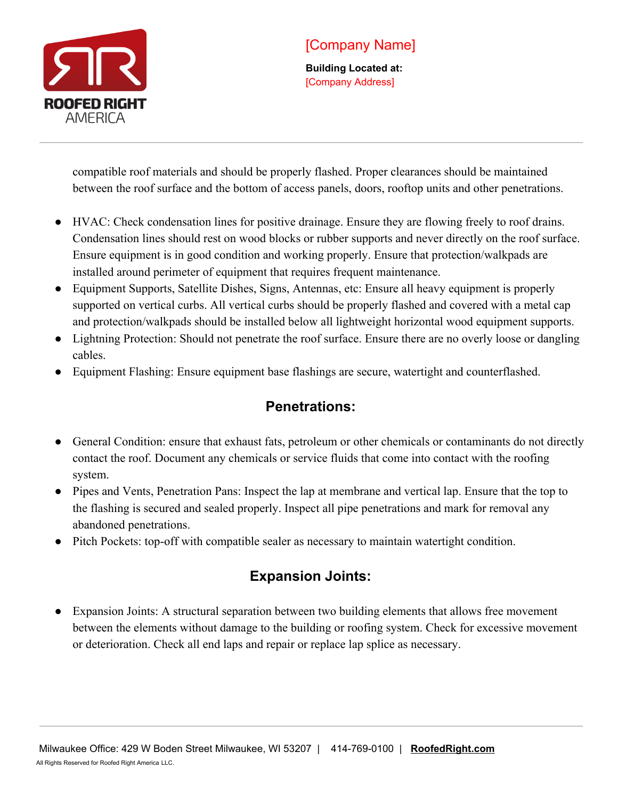

**Building Located at:** [Company Address]

compatible roof materials and should be properly flashed. Proper clearances should be maintained between the roof surface and the bottom of access panels, doors, rooftop units and other penetrations.

- HVAC: Check condensation lines for positive drainage. Ensure they are flowing freely to roof drains. Condensation lines should rest on wood blocks or rubber supports and never directly on the roof surface. Ensure equipment is in good condition and working properly. Ensure that protection/walkpads are installed around perimeter of equipment that requires frequent maintenance.
- Equipment Supports, Satellite Dishes, Signs, Antennas, etc: Ensure all heavy equipment is properly supported on vertical curbs. All vertical curbs should be properly flashed and covered with a metal cap and protection/walkpads should be installed below all lightweight horizontal wood equipment supports.
- Lightning Protection: Should not penetrate the roof surface. Ensure there are no overly loose or dangling cables.
- Equipment Flashing: Ensure equipment base flashings are secure, watertight and counterflashed.

#### **Penetrations:**

- General Condition: ensure that exhaust fats, petroleum or other chemicals or contaminants do not directly contact the roof. Document any chemicals or service fluids that come into contact with the roofing system.
- Pipes and Vents, Penetration Pans: Inspect the lap at membrane and vertical lap. Ensure that the top to the flashing is secured and sealed properly. Inspect all pipe penetrations and mark for removal any abandoned penetrations.
- Pitch Pockets: top-off with compatible sealer as necessary to maintain watertight condition.

### **Expansion Joints:**

● Expansion Joints: A structural separation between two building elements that allows free movement between the elements without damage to the building or roofing system. Check for excessive movement or deterioration. Check all end laps and repair or replace lap splice as necessary.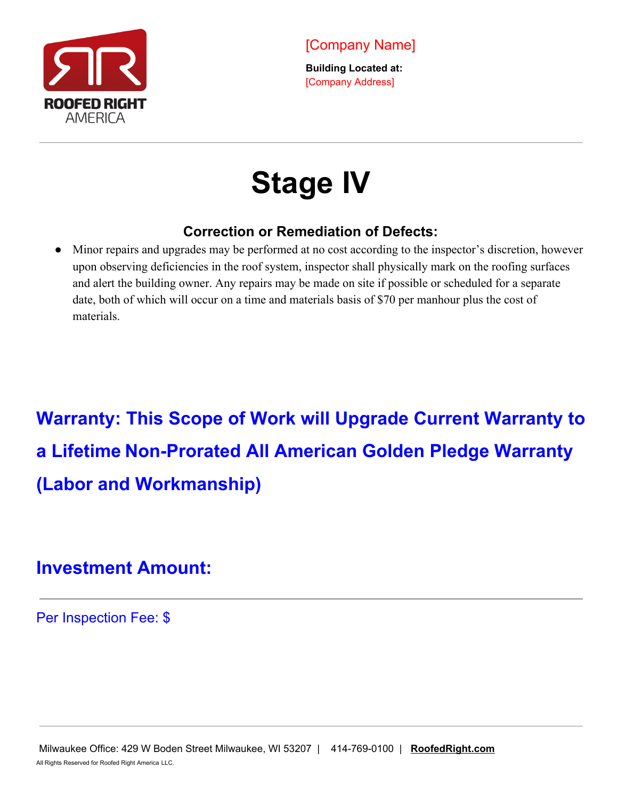

## **Stage IV**

#### **Correction or Remediation of Defects:**

Minor repairs and upgrades may be performed at no cost according to the inspector's discretion, however upon observing deficiencies in the roof system, inspector shall physically mark on the roofing surfaces and alert the building owner. Any repairs may be made on site if possible or scheduled for a separate date, both of which will occur on a time and materials basis of \$70 per manhour plus the cost of materials.

**Warranty: This Scope of Work will Upgrade Current Warranty to a Lifetime Non-Prorated All American Golden Pledge Warranty (Labor and Workmanship)**

## **Investment Amount:**

Per Inspection Fee: \$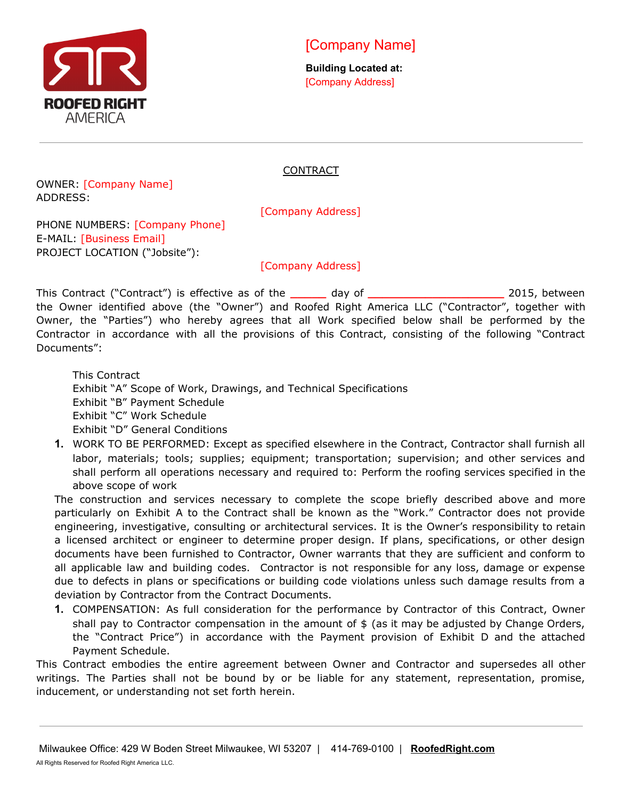

**Building Located at:** [Company Address]

#### CONTRACT

OWNER: [Company Name] ADDRESS:

[Company Address]

PHONE NUMBERS: [Company Phone] E-MAIL: [Business Email] PROJECT LOCATION ("Jobsite"):

[Company Address]

This Contract ("Contract") is effective as of the **\_\_\_\_\_** day of **\_\_\_\_\_\_\_\_\_\_\_\_\_\_\_\_\_\_\_** 2015, between the Owner identified above (the "Owner") and Roofed Right America LLC ("Contractor", together with Owner, the "Parties") who hereby agrees that all Work specified below shall be performed by the Contractor in accordance with all the provisions of this Contract, consisting of the following "Contract Documents":

This Contract Exhibit "A" Scope of Work, Drawings, and Technical Specifications Exhibit "B" Payment Schedule Exhibit "C" Work Schedule Exhibit "D" General Conditions

**1.** WORK TO BE PERFORMED: Except as specified elsewhere in the Contract, Contractor shall furnish all labor, materials; tools; supplies; equipment; transportation; supervision; and other services and shall perform all operations necessary and required to: Perform the roofing services specified in the above scope of work

The construction and services necessary to complete the scope briefly described above and more particularly on Exhibit A to the Contract shall be known as the "Work." Contractor does not provide engineering, investigative, consulting or architectural services. It is the Owner's responsibility to retain a licensed architect or engineer to determine proper design. If plans, specifications, or other design documents have been furnished to Contractor, Owner warrants that they are sufficient and conform to all applicable law and building codes. Contractor is not responsible for any loss, damage or expense due to defects in plans or specifications or building code violations unless such damage results from a deviation by Contractor from the Contract Documents.

**1.** COMPENSATION: As full consideration for the performance by Contractor of this Contract, Owner shall pay to Contractor compensation in the amount of  $$$  (as it may be adjusted by Change Orders, the "Contract Price") in accordance with the Payment provision of Exhibit D and the attached Payment Schedule.

This Contract embodies the entire agreement between Owner and Contractor and supersedes all other writings. The Parties shall not be bound by or be liable for any statement, representation, promise, inducement, or understanding not set forth herein.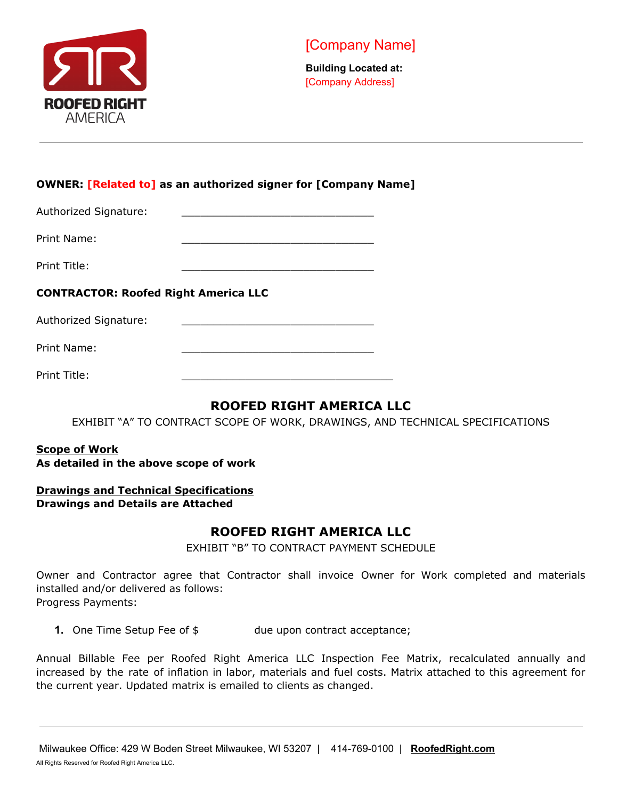

#### **OWNER: [Related to] as an authorized signer for [Company Name]**

Authorized Signature:

Print Name:

Print Title:

#### **CONTRACTOR: Roofed Right America LLC**

Authorized Signature:

Print Name:

Print Title:

#### **ROOFED RIGHT AMERICA LLC**

EXHIBIT "A" TO CONTRACT SCOPE OF WORK, DRAWINGS, AND TECHNICAL SPECIFICATIONS

#### **Scope of Work As detailed in the above scope of work**

#### **Drawings and Technical Specifications Drawings and Details are Attached**

#### **ROOFED RIGHT AMERICA LLC**

EXHIBIT "B" TO CONTRACT PAYMENT SCHEDULE

Owner and Contractor agree that Contractor shall invoice Owner for Work completed and materials installed and/or delivered as follows: Progress Payments:

**1.** One Time Setup Fee of  $\oint$  due upon contract acceptance;

Annual Billable Fee per Roofed Right America LLC Inspection Fee Matrix, recalculated annually and increased by the rate of inflation in labor, materials and fuel costs. Matrix attached to this agreement for the current year. Updated matrix is emailed to clients as changed.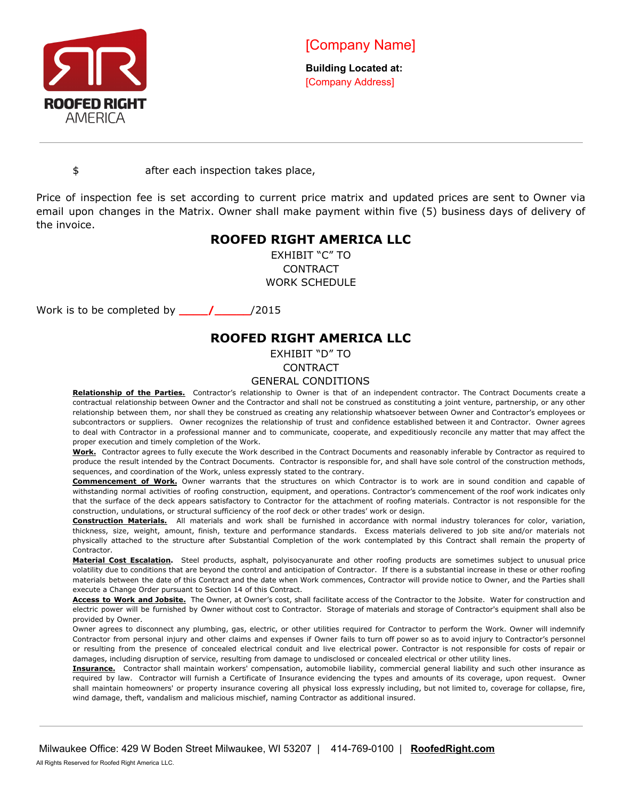

**Building Located at:** [Company Address]

\$ after each inspection takes place,

Price of inspection fee is set according to current price matrix and updated prices are sent to Owner via email upon changes in the Matrix. Owner shall make payment within five (5) business days of delivery of the invoice.

#### **ROOFED RIGHT AMERICA LLC**

EXHIBIT "C" TO CONTRACT WORK SCHEDULE

Work is to be completed by **\_\_\_\_/\_\_\_\_\_**/2015

#### **ROOFED RIGHT AMERICA LLC**

EXHIBIT "D" TO

CONTRACT

#### GENERAL CONDITIONS

**Relationship of the Parties.** Contractor's relationship to Owner is that of an independent contractor. The Contract Documents create a contractual relationship between Owner and the Contractor and shall not be construed as constituting a joint venture, partnership, or any other relationship between them, nor shall they be construed as creating any relationship whatsoever between Owner and Contractor's employees or subcontractors or suppliers. Owner recognizes the relationship of trust and confidence established between it and Contractor. Owner agrees to deal with Contractor in a professional manner and to communicate, cooperate, and expeditiously reconcile any matter that may affect the proper execution and timely completion of the Work.

**Work.** Contractor agrees to fully execute the Work described in the Contract Documents and reasonably inferable by Contractor as required to produce the result intended by the Contract Documents. Contractor is responsible for, and shall have sole control of the construction methods, sequences, and coordination of the Work, unless expressly stated to the contrary.

**Commencement of Work.** Owner warrants that the structures on which Contractor is to work are in sound condition and capable of withstanding normal activities of roofing construction, equipment, and operations. Contractor's commencement of the roof work indicates only that the surface of the deck appears satisfactory to Contractor for the attachment of roofing materials. Contractor is not responsible for the construction, undulations, or structural sufficiency of the roof deck or other trades' work or design.

**Construction Materials.** All materials and work shall be furnished in accordance with normal industry tolerances for color, variation, thickness, size, weight, amount, finish, texture and performance standards. Excess materials delivered to job site and/or materials not physically attached to the structure after Substantial Completion of the work contemplated by this Contract shall remain the property of Contractor.

**Material Cost Escalation.** Steel products, asphalt, polyisocyanurate and other roofing products are sometimes subject to unusual price volatility due to conditions that are beyond the control and anticipation of Contractor. If there is a substantial increase in these or other roofing materials between the date of this Contract and the date when Work commences, Contractor will provide notice to Owner, and the Parties shall execute a Change Order pursuant to Section 14 of this Contract.

**Access to Work and Jobsite.** The Owner, at Owner's cost, shall facilitate access of the Contractor to the Jobsite. Water for construction and electric power will be furnished by Owner without cost to Contractor. Storage of materials and storage of Contractor's equipment shall also be provided by Owner.

Owner agrees to disconnect any plumbing, gas, electric, or other utilities required for Contractor to perform the Work. Owner will indemnify Contractor from personal injury and other claims and expenses if Owner fails to turn off power so as to avoid injury to Contractor's personnel or resulting from the presence of concealed electrical conduit and live electrical power. Contractor is not responsible for costs of repair or damages, including disruption of service, resulting from damage to undisclosed or concealed electrical or other utility lines.

**Insurance.** Contractor shall maintain workers' compensation, automobile liability, commercial general liability and such other insurance as required by law. Contractor will furnish a Certificate of Insurance evidencing the types and amounts of its coverage, upon request. Owner shall maintain homeowners' or property insurance covering all physical loss expressly including, but not limited to, coverage for collapse, fire, wind damage, theft, vandalism and malicious mischief, naming Contractor as additional insured.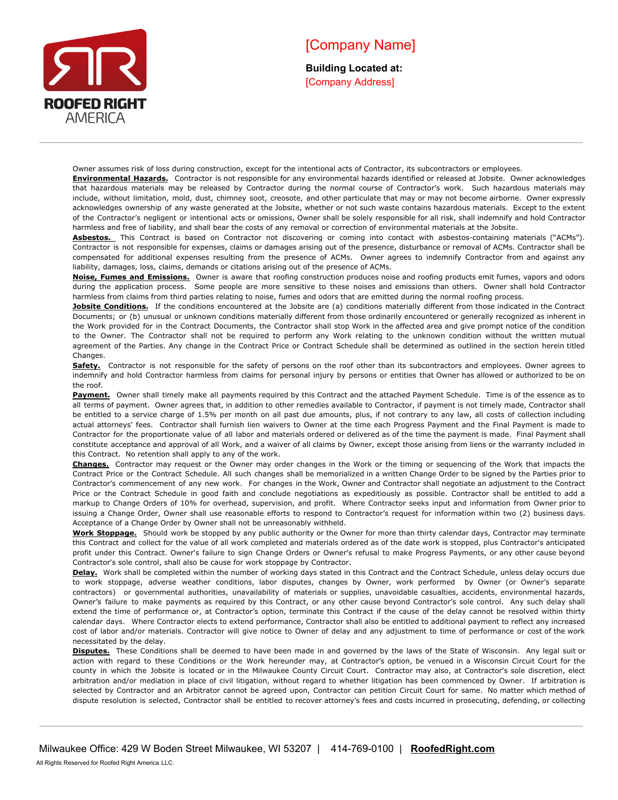

**Building Located at:** [Company Address]

Owner assumes risk of loss during construction, except for the intentional acts of Contractor, its subcontractors or employees.

**Environmental Hazards.** Contractor is not responsible for any environmental hazards identified or released at Jobsite. Owner acknowledges that hazardous materials may be released by Contractor during the normal course of Contractor's work. Such hazardous materials may include, without limitation, mold, dust, chimney soot, creosote, and other particulate that may or may not become airborne. Owner expressly acknowledges ownership of any waste generated at the Jobsite, whether or not such waste contains hazardous materials. Except to the extent of the Contractor's negligent or intentional acts or omissions, Owner shall be solely responsible for all risk, shall indemnify and hold Contractor harmless and free of liability, and shall bear the costs of any removal or correction of environmental materials at the Jobsite.

Asbestos. This Contract is based on Contractor not discovering or coming into contact with asbestos-containing materials ("ACMs"). Contractor is not responsible for expenses, claims or damages arising out of the presence, disturbance or removal of ACMs. Contractor shall be compensated for additional expenses resulting from the presence of ACMs. Owner agrees to indemnify Contractor from and against any liability, damages, loss, claims, demands or citations arising out of the presence of ACMs.

**Noise, Fumes and Emissions.** Owner is aware that roofing construction produces noise and roofing products emit fumes, vapors and odors during the application process. Some people are more sensitive to these noises and emissions than others. Owner shall hold Contractor harmless from claims from third parties relating to noise, fumes and odors that are emitted during the normal roofing process.

**Jobsite Conditions.** If the conditions encountered at the Jobsite are (a) conditions materially different from those indicated in the Contract Documents; or (b) unusual or unknown conditions materially different from those ordinarily encountered or generally recognized as inherent in the Work provided for in the Contract Documents, the Contractor shall stop Work in the affected area and give prompt notice of the condition to the Owner. The Contractor shall not be required to perform any Work relating to the unknown condition without the written mutual agreement of the Parties. Any change in the Contract Price or Contract Schedule shall be determined as outlined in the section herein titled Changes.

Safety. Contractor is not responsible for the safety of persons on the roof other than its subcontractors and employees. Owner agrees to indemnify and hold Contractor harmless from claims for personal injury by persons or entities that Owner has allowed or authorized to be on the roof.

Payment. Owner shall timely make all payments required by this Contract and the attached Payment Schedule. Time is of the essence as to all terms of payment. Owner agrees that, in addition to other remedies available to Contractor, if payment is not timely made, Contractor shall be entitled to a service charge of 1.5% per month on all past due amounts, plus, if not contrary to any law, all costs of collection including actual attorneys' fees. Contractor shall furnish lien waivers to Owner at the time each Progress Payment and the Final Payment is made to Contractor for the proportionate value of all labor and materials ordered or delivered as of the time the payment is made. Final Payment shall constitute acceptance and approval of all Work, and a waiver of all claims by Owner, except those arising from liens or the warranty included in this Contract. No retention shall apply to any of the work.

**Changes.** Contractor may request or the Owner may order changes in the Work or the timing or sequencing of the Work that impacts the Contract Price or the Contract Schedule. All such changes shall be memorialized in a written Change Order to be signed by the Parties prior to Contractor's commencement of any new work. For changes in the Work, Owner and Contractor shall negotiate an adjustment to the Contract Price or the Contract Schedule in good faith and conclude negotiations as expeditiously as possible. Contractor shall be entitled to add a markup to Change Orders of 10% for overhead, supervision, and profit. Where Contractor seeks input and information from Owner prior to issuing a Change Order, Owner shall use reasonable efforts to respond to Contractor's request for information within two (2) business days. Acceptance of a Change Order by Owner shall not be unreasonably withheld.

**Work Stoppage.** Should work be stopped by any public authority or the Owner for more than thirty calendar days, Contractor may terminate this Contract and collect for the value of all work completed and materials ordered as of the date work is stopped, plus Contractor's anticipated profit under this Contract. Owner's failure to sign Change Orders or Owner's refusal to make Progress Payments, or any other cause beyond Contractor's sole control, shall also be cause for work stoppage by Contractor.

Delay. Work shall be completed within the number of working days stated in this Contract and the Contract Schedule, unless delay occurs due to work stoppage, adverse weather conditions, labor disputes, changes by Owner, work performed by Owner (or Owner's separate contractors) or governmental authorities, unavailability of materials or supplies, unavoidable casualties, accidents, environmental hazards, Owner's failure to make payments as required by this Contract, or any other cause beyond Contractor's sole control. Any such delay shall extend the time of performance or, at Contractor's option, terminate this Contract if the cause of the delay cannot be resolved within thirty calendar days. Where Contractor elects to extend performance, Contractor shall also be entitled to additional payment to reflect any increased cost of labor and/or materials. Contractor will give notice to Owner of delay and any adjustment to time of performance or cost of the work necessitated by the delay.

**Disputes.** These Conditions shall be deemed to have been made in and governed by the laws of the State of Wisconsin. Any legal suit or action with regard to these Conditions or the Work hereunder may, at Contractor's option, be venued in a Wisconsin Circuit Court for the county in which the Jobsite is located or in the Milwaukee County Circuit Court. Contractor may also, at Contractor's sole discretion, elect arbitration and/or mediation in place of civil litigation, without regard to whether litigation has been commenced by Owner. If arbitration is selected by Contractor and an Arbitrator cannot be agreed upon, Contractor can petition Circuit Court for same. No matter which method of dispute resolution is selected, Contractor shall be entitled to recover attorney's fees and costs incurred in prosecuting, defending, or collecting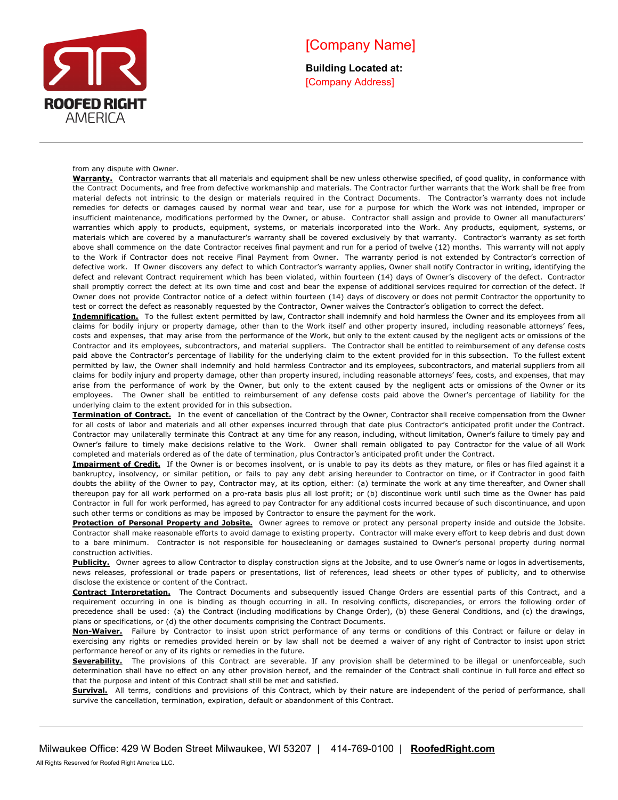

**Building Located at:** [Company Address]

from any dispute with Owner.

**Warranty.** Contractor warrants that all materials and equipment shall be new unless otherwise specified, of good quality, in conformance with the Contract Documents, and free from defective workmanship and materials. The Contractor further warrants that the Work shall be free from material defects not intrinsic to the design or materials required in the Contract Documents. The Contractor's warranty does not include remedies for defects or damages caused by normal wear and tear, use for a purpose for which the Work was not intended, improper or insufficient maintenance, modifications performed by the Owner, or abuse. Contractor shall assign and provide to Owner all manufacturers' warranties which apply to products, equipment, systems, or materials incorporated into the Work. Any products, equipment, systems, or materials which are covered by a manufacturer's warranty shall be covered exclusively by that warranty. Contractor's warranty as set forth above shall commence on the date Contractor receives final payment and run for a period of twelve (12) months. This warranty will not apply to the Work if Contractor does not receive Final Payment from Owner. The warranty period is not extended by Contractor's correction of defective work. If Owner discovers any defect to which Contractor's warranty applies, Owner shall notify Contractor in writing, identifying the defect and relevant Contract requirement which has been violated, within fourteen (14) days of Owner's discovery of the defect. Contractor shall promptly correct the defect at its own time and cost and bear the expense of additional services required for correction of the defect. If Owner does not provide Contractor notice of a defect within fourteen (14) days of discovery or does not permit Contractor the opportunity to test or correct the defect as reasonably requested by the Contractor, Owner waives the Contractor's obligation to correct the defect.

**Indemnification.** To the fullest extent permitted by law, Contractor shall indemnify and hold harmless the Owner and its employees from all claims for bodily injury or property damage, other than to the Work itself and other property insured, including reasonable attorneys' fees, costs and expenses, that may arise from the performance of the Work, but only to the extent caused by the negligent acts or omissions of the Contractor and its employees, subcontractors, and material suppliers. The Contractor shall be entitled to reimbursement of any defense costs paid above the Contractor's percentage of liability for the underlying claim to the extent provided for in this subsection. To the fullest extent permitted by law, the Owner shall indemnify and hold harmless Contractor and its employees, subcontractors, and material suppliers from all claims for bodily injury and property damage, other than property insured, including reasonable attorneys' fees, costs, and expenses, that may arise from the performance of work by the Owner, but only to the extent caused by the negligent acts or omissions of the Owner or its employees. The Owner shall be entitled to reimbursement of any defense costs paid above the Owner's percentage of liability for the underlying claim to the extent provided for in this subsection.

**Termination of Contract.** In the event of cancellation of the Contract by the Owner, Contractor shall receive compensation from the Owner for all costs of labor and materials and all other expenses incurred through that date plus Contractor's anticipated profit under the Contract. Contractor may unilaterally terminate this Contract at any time for any reason, including, without limitation, Owner's failure to timely pay and Owner's failure to timely make decisions relative to the Work. Owner shall remain obligated to pay Contractor for the value of all Work completed and materials ordered as of the date of termination, plus Contractor's anticipated profit under the Contract.

**Impairment of Credit.** If the Owner is or becomes insolvent, or is unable to pay its debts as they mature, or files or has filed against it a bankruptcy, insolvency, or similar petition, or fails to pay any debt arising hereunder to Contractor on time, or if Contractor in good faith doubts the ability of the Owner to pay, Contractor may, at its option, either: (a) terminate the work at any time thereafter, and Owner shall thereupon pay for all work performed on a pro-rata basis plus all lost profit; or (b) discontinue work until such time as the Owner has paid Contractor in full for work performed, has agreed to pay Contractor for any additional costs incurred because of such discontinuance, and upon such other terms or conditions as may be imposed by Contractor to ensure the payment for the work.

**Protection of Personal Property and Jobsite.** Owner agrees to remove or protect any personal property inside and outside the Jobsite. Contractor shall make reasonable efforts to avoid damage to existing property. Contractor will make every effort to keep debris and dust down to a bare minimum. Contractor is not responsible for housecleaning or damages sustained to Owner's personal property during normal construction activities.

Publicity. Owner agrees to allow Contractor to display construction signs at the Jobsite, and to use Owner's name or logos in advertisements, news releases, professional or trade papers or presentations, list of references, lead sheets or other types of publicity, and to otherwise disclose the existence or content of the Contract.

**Contract Interpretation.** The Contract Documents and subsequently issued Change Orders are essential parts of this Contract, and a requirement occurring in one is binding as though occurring in all. In resolving conflicts, discrepancies, or errors the following order of precedence shall be used: (a) the Contract (including modifications by Change Order), (b) these General Conditions, and (c) the drawings, plans or specifications, or (d) the other documents comprising the Contract Documents.

**Non-Waiver.** Failure by Contractor to insist upon strict performance of any terms or conditions of this Contract or failure or delay in exercising any rights or remedies provided herein or by law shall not be deemed a waiver of any right of Contractor to insist upon strict performance hereof or any of its rights or remedies in the future.

Severability. The provisions of this Contract are severable. If any provision shall be determined to be illegal or unenforceable, such determination shall have no effect on any other provision hereof, and the remainder of the Contract shall continue in full force and effect so that the purpose and intent of this Contract shall still be met and satisfied.

**Survival.** All terms, conditions and provisions of this Contract, which by their nature are independent of the period of performance, shall survive the cancellation, termination, expiration, default or abandonment of this Contract.